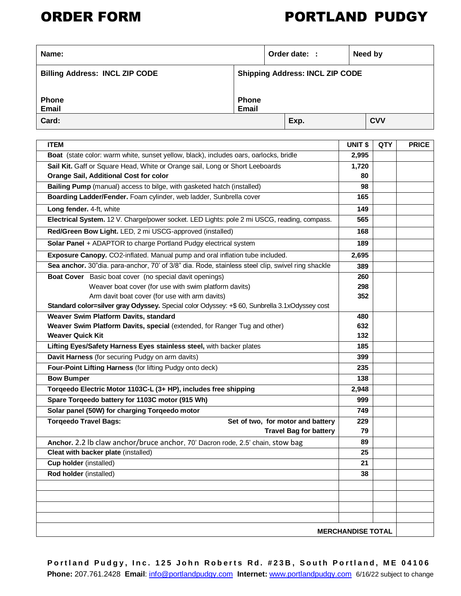## ORDER FORM PORTLAND PUDGY

| Name:                                 |                                        |  | Order date: : |  | Need by    |
|---------------------------------------|----------------------------------------|--|---------------|--|------------|
| <b>Billing Address: INCL ZIP CODE</b> | <b>Shipping Address: INCL ZIP CODE</b> |  |               |  |            |
| <b>Phone</b><br><b>Email</b>          | <b>Phone</b><br>Email                  |  |               |  |            |
| Card:                                 |                                        |  | Exp.          |  | <b>CVV</b> |

| <b>ITEM</b>                                                                                       | UNIT \$                  | QTY | <b>PRICE</b> |
|---------------------------------------------------------------------------------------------------|--------------------------|-----|--------------|
| Boat (state color: warm white, sunset yellow, black), includes oars, oarlocks, bridle             | 2,995                    |     |              |
| Sail Kit. Gaff or Square Head, White or Orange sail, Long or Short Leeboards                      | 1,720                    |     |              |
| Orange Sail, Additional Cost for color                                                            | 80                       |     |              |
| Bailing Pump (manual) access to bilge, with gasketed hatch (installed)                            | 98                       |     |              |
| Boarding Ladder/Fender. Foam cylinder, web ladder, Sunbrella cover                                | 165                      |     |              |
| Long fender. 4-ft, white                                                                          | 149                      |     |              |
| Electrical System. 12 V. Charge/power socket. LED Lights: pole 2 mi USCG, reading, compass.       | 565                      |     |              |
| Red/Green Bow Light. LED, 2 mi USCG-approved (installed)                                          | 168                      |     |              |
| Solar Panel + ADAPTOR to charge Portland Pudgy electrical system                                  | 189                      |     |              |
| Exposure Canopy. CO2-inflated. Manual pump and oral inflation tube included.                      | 2,695                    |     |              |
| Sea anchor. 30"dia. para-anchor, 70' of 3/8" dia. Rode, stainless steel clip, swivel ring shackle | 389                      |     |              |
| Boat Cover Basic boat cover (no special davit openings)                                           | 260                      |     |              |
| Weaver boat cover (for use with swim platform davits)                                             | 298                      |     |              |
| Arm davit boat cover (for use with arm davits)                                                    | 352                      |     |              |
| Standard color=silver gray Odyssey. Special color Odyssey: +\$ 60, Sunbrella 3.1xOdyssey cost     |                          |     |              |
| Weaver Swim Platform Davits, standard                                                             | 480                      |     |              |
| Weaver Swim Platform Davits, special (extended, for Ranger Tug and other)                         | 632                      |     |              |
| <b>Weaver Quick Kit</b>                                                                           | 132                      |     |              |
| Lifting Eyes/Safety Harness Eyes stainless steel, with backer plates                              | 185                      |     |              |
| Davit Harness (for securing Pudgy on arm davits)                                                  | 399                      |     |              |
| Four-Point Lifting Harness (for lifting Pudgy onto deck)                                          | 235                      |     |              |
| <b>Bow Bumper</b>                                                                                 | 138                      |     |              |
| Torqeedo Electric Motor 1103C-L (3+ HP), includes free shipping                                   | 2,948                    |     |              |
| Spare Torqeedo battery for 1103C motor (915 Wh)                                                   | 999                      |     |              |
| Solar panel (50W) for charging Torqeedo motor                                                     | 749                      |     |              |
| <b>Torqeedo Travel Bags:</b><br>Set of two, for motor and battery                                 | 229                      |     |              |
| <b>Travel Bag for battery</b>                                                                     | 79                       |     |              |
| Anchor. 2.2 lb claw anchor/bruce anchor, 70' Dacron rode, 2.5' chain, stow bag                    | 89                       |     |              |
| Cleat with backer plate (installed)                                                               | 25                       |     |              |
| Cup holder (installed)                                                                            | 21                       |     |              |
| Rod holder (installed)                                                                            | 38                       |     |              |
|                                                                                                   |                          |     |              |
|                                                                                                   |                          |     |              |
|                                                                                                   |                          |     |              |
|                                                                                                   |                          |     |              |
|                                                                                                   | <b>MERCHANDISE TOTAL</b> |     |              |

Portland Pudgy, Inc. 125 John Roberts Rd. #23B, South Portland, ME 04106  **Phone:** 207.761.2428 **Email**: [info@portlandpudgy.com](mailto:info@portlandpudgy.com) **Internet:** [www.portlandpudgy.com](http://www.portlandpudgy.com/) 6/16/22 subject to change